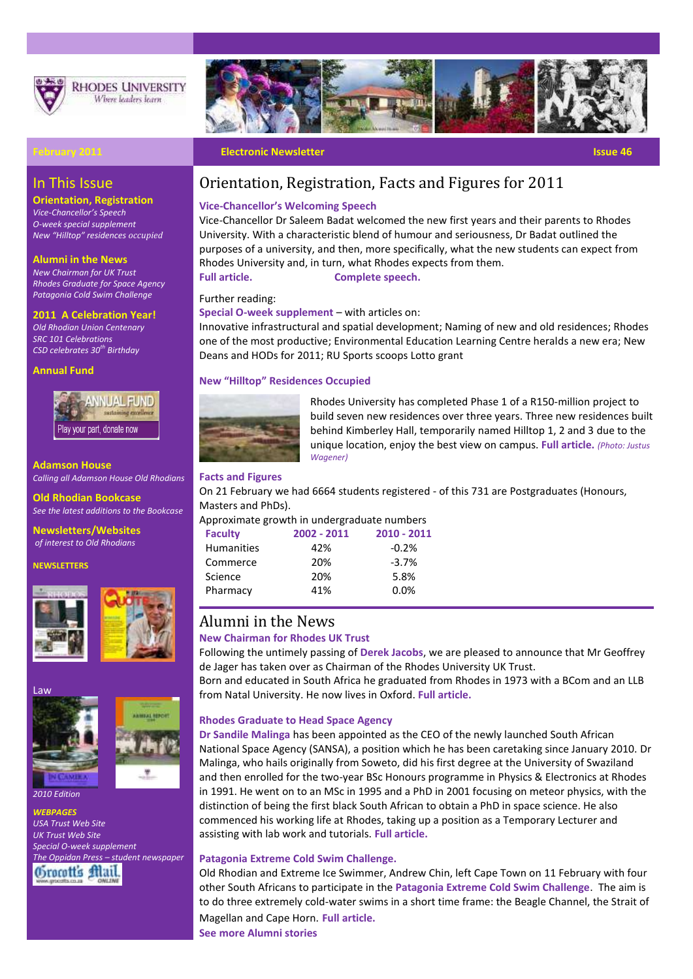

**RHODES UNIVERSITY** Where leaders learn



#### **February 2011 Electronic Newsletter Issue 46 Electronic Newsletter Issue 46**

### In This Issue

**Orientation, Registration** *[Vice-Chancellor](http://www.ru.ac.za/library/ournewlibrary/thegrandopening)'s Speech O-week [special supplement](http://www.ru.ac.za/documents/RU%20Home/.Newsletters/supplement%20for%20website_2011_02_07_01_48_20.pdf) New ["Hilltop" residence](http://www.ru.ac.za/modules/blog_include/blog_content.php?blog_id=1596)s occupied*

#### **Alumni in the News**

*New [Chairman for UK Trust](http://www.ru.ac.za/modules/blog_include/blog_content.php?blog_id=1659) Rhodes [Graduate for Space Agency](http://www.ru.ac.za/modules/blog_include/blog_content.php?blog_id=1652) [Patagonia Cold Swim](http://www.ru.ac.za/alumni/latestnewsonalumni) Challenge*

**2011 A Celebration Year!** *Old Rhodian Union Centenary [SRC 101 Celebrations](http://www.ru.ac.za/alumni/src101) [CSD celebrates 30](http://www.ru.ac.za/modules/blog_include/blog_content.php?blog_id=1664)th Birthday*

#### **Annual Fund**



#### **Adamson House**

*Calling all [Adamson House Old Rhodians](http://www.ru.ac.za/alumni/news/noticestooldrhodians/adamsonhouse)*

**Old Rhodian Bookcase** *[See the latest additions to the Bookcase](http://www.ru.ac.za/alumni/news/oldrhodianauthors/donatedbookstoru)*

**Newsletters/Websites** *of interest to Old Rhodians* 

#### **NEWSLETTERS**



# Law





*2010 Edition*

*WEBPAGES [USA Trust Web Site](http://www.rhodesalumni.com/) [UK Trust Web Site](http://www.rhodesalumni.co.uk/) [Special O-week supplement](http://www.ru.ac.za/documents/RU%20Home/.Newsletters/supplement%20for%20website_2011_02_07_01_48_20.pdf) [The Oppidan Press](http://www.theoppidanpress.com/) – student newspaper*



# Orientation, Registration, Facts and Figures for 2011

#### **Vice-Chancellor's Welcoming Speech**

Vice-Chancellor Dr Saleem Badat welcomed the new first years and their parents to Rhodes University. With a characteristic blend of humour and seriousness, Dr Badat outlined the purposes of a university, and then, more specifically, what the new students can expect from Rhodes University and, in turn, what Rhodes expects from them. **[Full article.](http://www.ru.ac.za/modules/blog_include/blog_content.php?blog_id=1645) [Complete speech.](https://www.ru.ac.za/documents/RU%20Home/OrientationWeekWelcomeFinalCopy-7Feb2011.pdf)**

#### Further reading:

#### **[Special O-week supplement](http://www.ru.ac.za/documents/RU%20Home/.Newsletters/supplement%20for%20website_2011_02_07_01_48_20.pdf)** – with articles on:

Innovative infrastructural and spatial development; Naming of new and old residences; Rhodes one of the most productive; Environmental Education Learning Centre heralds a new era; New Deans and HODs for 2011; RU Sports scoops Lotto grant

#### **New "Hilltop" Residences Occupied**



Rhodes University has completed Phase 1 of a R150-million project to build seven new residences over three years. Three new residences built behind Kimberley Hall, temporarily named Hilltop 1, 2 and 3 due to the unique location, enjoy the best view on campus. **[Full article.](http://www.ru.ac.za/modules/blog_include/blog_content.php?blog_id=1596)** *(Photo: Justus Wagener)*

#### **Facts and Figures**

On 21 February we had 6664 students registered - of this 731 are Postgraduates (Honours, Masters and PhDs).

Approximate growth in undergraduate numbers

| 2002 - 2011 | $2010 - 2011$ |
|-------------|---------------|
| 42%         | $-0.2%$       |
| 20%         | $-3.7%$       |
| 20%         | 5.8%          |
| 41%         | 0.0%          |
|             |               |

## Alumni in the News

#### **New Chairman for Rhodes UK Trust**

Following the untimely passing of **[Derek Jacobs](http://www.ru.ac.za/alumni/news/deceased2010/derekarnoldjacobs)**, we are pleased to announce that Mr Geoffrey de Jager has taken over as Chairman of the Rhodes University UK Trust.

Born and educated in South Africa he graduated from Rhodes in 1973 with a BCom and an LLB from Natal University. He now lives in Oxford. **[Full article.](http://www.ru.ac.za/modules/blog_include/blog_content.php?blog_id=1659)**

#### **Rhodes Graduate to Head Space Agency**

**Dr Sandile Malinga** has been appointed as the CEO of the newly launched South African National Space Agency (SANSA), a position which he has been caretaking since January 2010. Dr Malinga, who hails originally from Soweto, did his first degree at the University of Swaziland and then enrolled for the two-year BSc Honours programme in Physics & Electronics at Rhodes in 1991. He went on to an MSc in 1995 and a PhD in 2001 focusing on meteor physics, with the distinction of being the first black South African to obtain a PhD in space science. He also commenced his working life at Rhodes, taking up a position as a Temporary Lecturer and assisting with lab work and tutorials. **[Full article.](http://www.ru.ac.za/modules/blog_include/blog_content.php?blog_id=1652)**

#### **Patagonia Extreme Cold Swim Challenge.**

Old Rhodian and Extreme Ice Swimmer, Andrew Chin, left Cape Town on 11 February with four other South Africans to participate in the **[Patagonia Extreme Cold Swim Challenge](http://www.facebook.com/topic.php?uid=6147172660&topic=4910#%21/patagoniaswim)**. The aim is to do three extremely cold-water swims in a short time frame: the Beagle Channel, the Strait of Magellan and Cape Horn. **[Full article.](http://www.ru.ac.za/alumni/latestnewsonalumni)**

**[See more Alumni stories](http://www.ru.ac.za/alumni/latestnewsonalumni)**